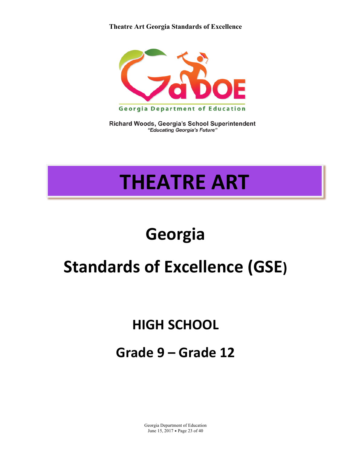#### **Theatre Art Georgia Standards of Excellence**



Richard Woods, Georgia's School Superintendent "Educating Georgia's Future"

# **THEATRE ART**

## **Georgia**

## **Standards of Excellence (GSE)**

### **HIGH SCHOOL**

### **Grade 9 – Grade 12**

Georgia Department of Education June 15, 2017 • Page 23 of 40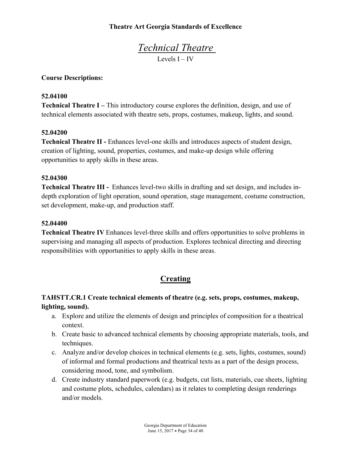#### **Theatre Art Georgia Standards of Excellence**

*Technical Theatre*  Levels I – IV

#### **Course Descriptions:**

#### **52.04100**

**Technical Theatre I –** This introductory course explores the definition, design, and use of technical elements associated with theatre sets, props, costumes, makeup, lights, and sound.

#### **52.04200**

**Technical Theatre II -** Enhances level-one skills and introduces aspects of student design, creation of lighting, sound, properties, costumes, and make-up design while offering opportunities to apply skills in these areas.

#### **52.04300**

**Technical Theatre III -** Enhances level-two skills in drafting and set design, and includes indepth exploration of light operation, sound operation, stage management, costume construction, set development, make-up, and production staff.

#### **52.04400**

**Technical Theatre IV** Enhances level-three skills and offers opportunities to solve problems in supervising and managing all aspects of production. Explores technical directing and directing responsibilities with opportunities to apply skills in these areas.

#### **Creating**

#### **TAHSTT.CR.1 Create technical elements of theatre (e.g. sets, props, costumes, makeup, lighting, sound).**

- a. Explore and utilize the elements of design and principles of composition for a theatrical context.
- b. Create basic to advanced technical elements by choosing appropriate materials, tools, and techniques.
- c. Analyze and/or develop choices in technical elements (e.g. sets, lights, costumes, sound) of informal and formal productions and theatrical texts as a part of the design process, considering mood, tone, and symbolism.
- d. Create industry standard paperwork (e.g. budgets, cut lists, materials, cue sheets, lighting and costume plots, schedules, calendars) as it relates to completing design renderings and/or models.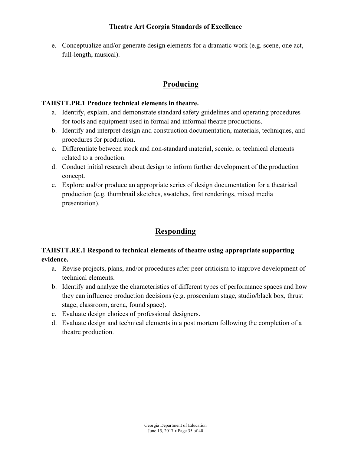e. Conceptualize and/or generate design elements for a dramatic work (e.g. scene, one act, full-length, musical).

#### **Producing**

#### **TAHSTT.PR.1 Produce technical elements in theatre.**

- a. Identify, explain, and demonstrate standard safety guidelines and operating procedures for tools and equipment used in formal and informal theatre productions.
- b. Identify and interpret design and construction documentation, materials, techniques, and procedures for production.
- c. Differentiate between stock and non-standard material, scenic, or technical elements related to a production.
- d. Conduct initial research about design to inform further development of the production concept.
- e. Explore and/or produce an appropriate series of design documentation for a theatrical production (e.g. thumbnail sketches, swatches, first renderings, mixed media presentation).

#### **Responding**

#### **TAHSTT.RE.1 Respond to technical elements of theatre using appropriate supporting evidence.**

- a. Revise projects, plans, and/or procedures after peer criticism to improve development of technical elements.
- b. Identify and analyze the characteristics of different types of performance spaces and how they can influence production decisions (e.g. proscenium stage, studio/black box, thrust stage, classroom, arena, found space).
- c. Evaluate design choices of professional designers.
- d. Evaluate design and technical elements in a post mortem following the completion of a theatre production.